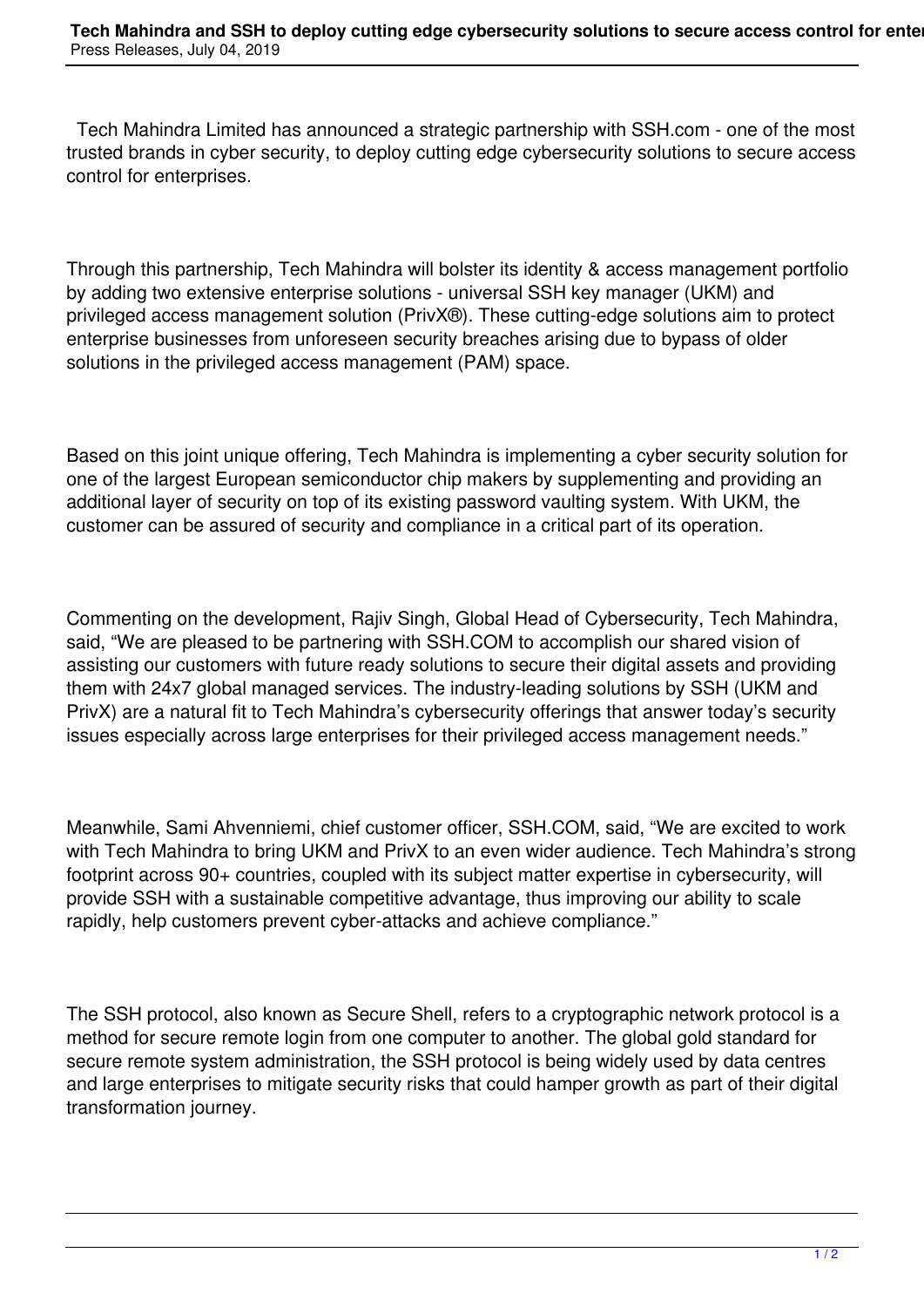Tech Mahindra Limited has announced a strategic partnership with SSH.com - one of the most trusted brands in cyber security, to deploy cutting edge cybersecurity solutions to secure access control for enterprises.

Through this partnership, Tech Mahindra will bolster its identity & access management portfolio by adding two extensive enterprise solutions - universal SSH key manager (UKM) and privileged access management solution (PrivX®). These cutting-edge solutions aim to protect enterprise businesses from unforeseen security breaches arising due to bypass of older solutions in the privileged access management (PAM) space.

Based on this joint unique offering, Tech Mahindra is implementing a cyber security solution for one of the largest European semiconductor chip makers by supplementing and providing an additional layer of security on top of its existing password vaulting system. With UKM, the customer can be assured of security and compliance in a critical part of its operation.

Commenting on the development, Rajiv Singh, Global Head of Cybersecurity, Tech Mahindra, said, "We are pleased to be partnering with SSH.COM to accomplish our shared vision of assisting our customers with future ready solutions to secure their digital assets and providing them with 24x7 global managed services. The industry-leading solutions by SSH (UKM and PrivX) are a natural fit to Tech Mahindra's cybersecurity offerings that answer today's security issues especially across large enterprises for their privileged access management needs."

Meanwhile, Sami Ahvenniemi, chief customer officer, SSH.COM, said, "We are excited to work with Tech Mahindra to bring UKM and PrivX to an even wider audience. Tech Mahindra's strong footprint across 90+ countries, coupled with its subject matter expertise in cybersecurity, will provide SSH with a sustainable competitive advantage, thus improving our ability to scale rapidly, help customers prevent cyber-attacks and achieve compliance."

The SSH protocol, also known as Secure Shell, refers to a cryptographic network protocol is a method for secure remote login from one computer to another. The global gold standard for secure remote system administration, the SSH protocol is being widely used by data centres and large enterprises to mitigate security risks that could hamper growth as part of their digital transformation journey.